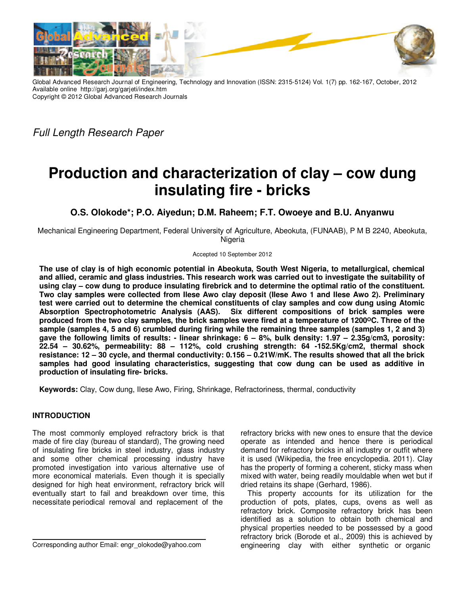

Global Advanced Research Journal of Engineering, Technology and Innovation (ISSN: 2315-5124) Vol. 1(7) pp. 162-167, October, 2012 Available online http://garj.org/garjeti/index.htm Copyright © 2012 Global Advanced Research Journals

Full Length Research Paper

# **Production and characterization of clay – cow dung insulating fire - bricks**

**O.S. Olokode\*; P.O. Aiyedun; D.M. Raheem; F.T. Owoeye and B.U. Anyanwu** 

Mechanical Engineering Department, Federal University of Agriculture, Abeokuta, (FUNAAB), P M B 2240, Abeokuta, Nigeria

Accepted 10 September 2012

**The use of clay is of high economic potential in Abeokuta, South West Nigeria, to metallurgical, chemical and allied, ceramic and glass industries. This research work was carried out to investigate the suitability of using clay – cow dung to produce insulating firebrick and to determine the optimal ratio of the constituent. Two clay samples were collected from Ilese Awo clay deposit (Ilese Awo 1 and Ilese Awo 2). Preliminary test were carried out to determine the chemical constituents of clay samples and cow dung using Atomic Absorption Spectrophotometric Analysis (AAS). Six different compositions of brick samples were produced from the two clay samples, the brick samples were fired at a temperature of 1200ᴼC. Three of the sample (samples 4, 5 and 6) crumbled during firing while the remaining three samples (samples 1, 2 and 3) gave the following limits of results: - linear shrinkage: 6 – 8%, bulk density: 1.97 – 2.35g/cm3, porosity: 22.54 – 30.62%, permeability: 88 – 112%, cold crushing strength: 64 -152.5Kg/cm2, thermal shock resistance: 12 – 30 cycle, and thermal conductivity: 0.156 – 0.21W/mK. The results showed that all the brick samples had good insulating characteristics, suggesting that cow dung can be used as additive in production of insulating fire- bricks.** 

**Keywords:** Clay, Cow dung, Ilese Awo, Firing, Shrinkage, Refractoriness, thermal, conductivity

# **INTRODUCTION**

The most commonly employed refractory brick is that made of fire clay (bureau of standard), The growing need of insulating fire bricks in steel industry, glass industry and some other chemical processing industry have promoted investigation into various alternative use of more economical materials. Even though it is specially designed for high heat environment, refractory brick will eventually start to fail and breakdown over time, this necessitate periodical removal and replacement of the

Corresponding author Email: engr\_olokode@yahoo.com

refractory bricks with new ones to ensure that the device operate as intended and hence there is periodical demand for refractory bricks in all industry or outfit where it is used (Wikipedia, the free encyclopedia. 2011). Clay has the property of forming a coherent, sticky mass when mixed with water, being readily mouldable when wet but if dried retains its shape (Gerhard, 1986).

This property accounts for its utilization for the production of pots, plates, cups, ovens as well as refractory brick. Composite refractory brick has been identified as a solution to obtain both chemical and physical properties needed to be possessed by a good refractory brick (Borode et al., 2009) this is achieved by engineering clay with either synthetic or organic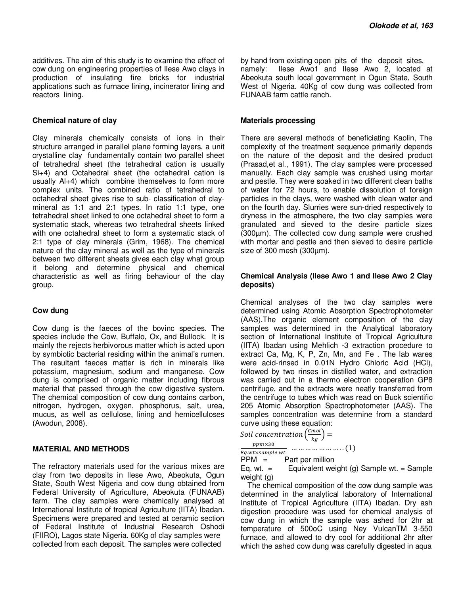additives. The aim of this study is to examine the effect of cow dung on engineering properties of Ilese Awo clays in production of insulating fire bricks for industrial applications such as furnace lining, incinerator lining and reactors lining.

#### **Chemical nature of clay**

Clay minerals chemically consists of ions in their structure arranged in parallel plane forming layers, a unit crystalline clay fundamentally contain two parallel sheet of tetrahedral sheet (the tetrahedral cation is usually Si+4) and Octahedral sheet (the octahedral cation is usually Al+4) which combine themselves to form more complex units. The combined ratio of tetrahedral to octahedral sheet gives rise to sub- classification of claymineral as 1:1 and 2:1 types. In ratio 1:1 type, one tetrahedral sheet linked to one octahedral sheet to form a systematic stack, whereas two tetrahedral sheets linked with one octahedral sheet to form a systematic stack of 2:1 type of clay minerals (Grim, 1968). The chemical nature of the clay mineral as well as the type of minerals between two different sheets gives each clay what group it belong and determine physical and chemical characteristic as well as firing behaviour of the clay group.

#### **Cow dung**

Cow dung is the faeces of the bovinc species. The species include the Cow, Buffalo, Ox, and Bullock. It is mainly the rejects herbivorous matter which is acted upon by symbiotic bacterial residing within the animal's rumen. The resultant faeces matter is rich in minerals like potassium, magnesium, sodium and manganese. Cow dung is comprised of organic matter including fibrous material that passed through the cow digestive system. The chemical composition of cow dung contains carbon, nitrogen, hydrogen, oxygen, phosphorus, salt, urea, mucus, as well as cellulose, lining and hemicelluloses (Awodun, 2008).

## **MATERIAL AND METHODS**

The refractory materials used for the various mixes are clay from two deposits in Ilese Awo, Abeokuta, Ogun State, South West Nigeria and cow dung obtained from Federal University of Agriculture, Abeokuta (FUNAAB) farm. The clay samples were chemically analysed at International Institute of tropical Agriculture (IITA) Ibadan. Specimens were prepared and tested at ceramic section of Federal Institute of Industrial Research Oshodi (FIIRO), Lagos state Nigeria. 60Kg of clay samples were collected from each deposit. The samples were collected

by hand from existing open pits of the deposit sites, namely: Ilese Awo1 and Ilese Awo 2, located at Abeokuta south local government in Ogun State, South West of Nigeria. 40Kg of cow dung was collected from FUNAAB farm cattle ranch.

## **Materials processing**

There are several methods of beneficiating Kaolin, The complexity of the treatment sequence primarily depends on the nature of the deposit and the desired product (Prasad,et al., 1991). The clay samples were processed manually. Each clay sample was crushed using mortar and pestle. They were soaked in two different clean baths of water for 72 hours, to enable dissolution of foreign particles in the clays, were washed with clean water and on the fourth day. Slurries were sun-dried respectively to dryness in the atmosphere, the two clay samples were granulated and sieved to the desire particle sizes (300µm). The collected cow dung sample were crushed with mortar and pestle and then sieved to desire particle size of 300 mesh (300um).

## **Chemical Analysis (Ilese Awo 1 and Ilese Awo 2 Clay deposits)**

Chemical analyses of the two clay samples were determined using Atomic Absorption Spectrophotometer (AAS).The organic element composition of the clay samples was determined in the Analytical laboratory section of International Institute of Tropical Agriculture (IITA) Ibadan using Mehlich -3 extraction procedure to extract Ca, Mg, K, P, Zn, Mn, and Fe . The lab wares were acid-rinsed in 0.01N Hydro Chloric Acid (HCl), followed by two rinses in distilled water, and extraction was carried out in a thermo electron cooperation GP8 centrifuge, and the extracts were neatly transferred from the centrifuge to tubes which was read on Buck scientific 205 Atomic Absorption Spectrophotometer (AAS). The samples concentration was determine from a standard curve using these equation:

Sol! concentration 
$$
\left(\frac{Cmol}{kg}\right) = \frac{ppm \times 30}{Eq.wtx \times sample wt}
$$

\n...

\n...

\n...

\n...

\n...

\n(1)

 $PPM =$  Part per million<br>Eq. wt. = Equivalent wei Equivalent weight (g) Sample wt. = Sample weight (g)

The chemical composition of the cow dung sample was determined in the analytical laboratory of International Institute of Tropical Agriculture (IITA) Ibadan. Dry ash digestion procedure was used for chemical analysis of cow dung in which the sample was ashed for 2hr at temperature of 500oC using Ney VulcanTM 3-550 furnace, and allowed to dry cool for additional 2hr after which the ashed cow dung was carefully digested in aqua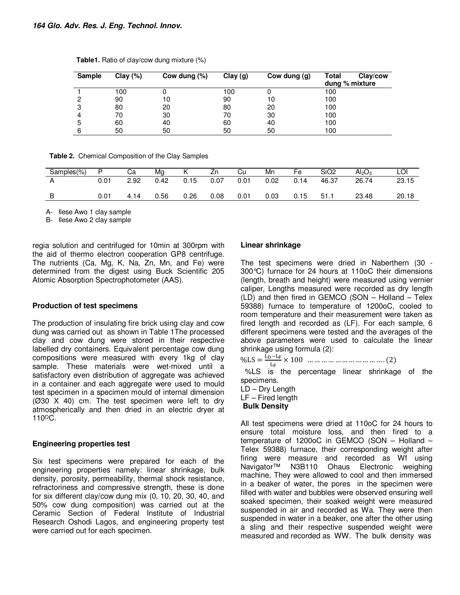| <b>Sample</b> | Clay $(\%)$ | Cow dung (%) | Clay(g) | Cow dung (g) | Total<br>Clay/cow<br>dung % mixture |
|---------------|-------------|--------------|---------|--------------|-------------------------------------|
|               | 100         |              | 100     |              | 100                                 |
| 2             | 90          | 10           | 90      | 10           | 100                                 |
| 3             | 80          | 20           | 80      | 20           | 100                                 |
| 4             | 70          | 30           | 70      | 30           | 100                                 |
| 5             | 60          | 40           | 60      | 40           | 100                                 |
| 6             | 50          | 50           | 50      | 50           | 100                                 |

**Table1.** Ratio of clay/cow dung mixture (%)

**Table 2.** Chemical Composition of the Clay Samples

| Samples(%) |      | Cа   | Mg   |      | Zn   | Cu   | Mn   | Fe   | SiO <sub>2</sub> | Al <sub>2</sub> O <sub>3</sub> | LOI   |
|------------|------|------|------|------|------|------|------|------|------------------|--------------------------------|-------|
|            | 0.01 | 2.92 | 0.42 | 0.15 | 0.07 | 0.01 | 0.02 | 0.14 | 46.37            | 26.74                          | 23.15 |
| B          | 0.01 | 4.14 | 0.56 | 0.26 | 0.08 | 0.01 | 0.03 | 0.15 | 51.1             | 23.48                          | 20.18 |

A- Ilese Awo 1 clay sample

B- Ilese Awo 2 clay sample

regia solution and centrifuged for 10min at 300rpm with the aid of thermo electron cooperation GP8 centrifuge. The nutrients (Ca, Mg, K, Na, Zn, Mn, and Fe) were determined from the digest using Buck Scientific 205 Atomic Absorption Spectrophotometer (AAS).

# **Production of test specimens**

The production of insulating fire brick using clay and cow dung was carried out as shown in Table 1The processed clay and cow dung were stored in their respective labelled dry containers. Equivalent percentage cow dung compositions were measured with every 1kg of clay sample. These materials were wet-mixed until a satisfactory even distribution of aggregate was achieved in a container and each aggregate were used to mould test specimen in a specimen mould of internal dimension (Ø30 X 40) cm. The test specimen were left to dry atmospherically and then dried in an electric dryer at 110<sup>o</sup>C.

# **Engineering properties test**

Six test specimens were prepared for each of the engineering properties namely: linear shrinkage, bulk density, porosity, permeability, thermal shock resistance, refractoriness and compressive strength, these is done for six different clay/cow dung mix (0, 10, 20, 30, 40, and 50% cow dung composition) was carried out at the Ceramic Section of Federal Institute of Industrial Research Oshodi Lagos, and engineering property test were carried out for each specimen.

## **Linear shrinkage**

The test specimens were dried in Naberthern (30 - 300°C) furnace for 24 hours at 110oC their dimensions (length, breath and height) were measured using vernier caliper, Lengths measured were recorded as dry length (LD) and then fired in GEMCO (SON – Holland – Telex 59388) furnace to temperature of 1200oC, cooled to room temperature and their measurement were taken as fired length and recorded as (LF). For each sample, 6 different specimens were tested and the averages of the above parameters were used to calculate the linear shrinkage using formula (2):

 $\%LS = \frac{L_D - L_F}{L_F} \times 100 \dots \dots \dots \dots \dots \dots \dots \dots \dots \dots (2)$ 

 %LS is the percentage linear shrinkage of the specimens.

LD – Dry Length

LF – Fired length

**Bulk Density**

All test specimens were dried at 110oC for 24 hours to ensure total moisture loss, and then fired to a temperature of 1200oC in GEMCO (SON – Holland – Telex 59388) furnace, their corresponding weight after firing were measure and recorded as Wf using Navigator™ N3B110 Ohaus Electronic weighing machine, They were allowed to cool and then immersed in a beaker of water, the pores in the specimen were filled with water and bubbles were observed ensuring well soaked specimen, their soaked weight were measured suspended in air and recorded as Wa. They were then suspended in water in a beaker, one after the other using a sling and their respective suspended weight were measured and recorded as WW. The bulk density was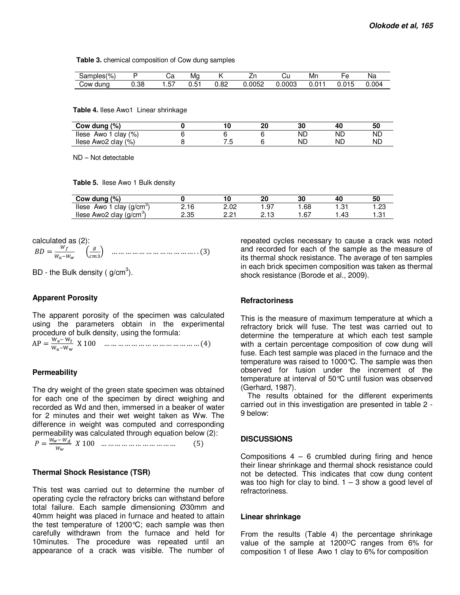**Table 3.** chemical composition of Cow dung samples

| $\sim$<br>Samples <sup>(1</sup><br>, ט<br>7ο |     | Ja         | Ma |            | <br>-- | UL     | Mn                |        | Na    |
|----------------------------------------------|-----|------------|----|------------|--------|--------|-------------------|--------|-------|
| COW<br>dung                                  | .38 | --<br>، ب. | .J | 0C<br>∪.o∠ | .0052  | 0.0003 | $\sim$<br>-<br>J. | .J.U ' | 0.004 |

**Table 4.** Ilese Awo1 Linear shrinkage

| Cow dung $(\%)$               |    | or<br>w | 30 | 4  | 50 |
|-------------------------------|----|---------|----|----|----|
| clay $(\%)$<br>llese<br>Awo 1 |    |         | ΝD | ND | ND |
| llese Awo2 clay $(\%)$        | ں، |         | ΝD | NĽ | ND |

ND – Not detectable

**Table 5.** Ilese Awo 1 Bulk density

| Cow dung (%)                             |      |      |         | 30  | 40                            | 50          |
|------------------------------------------|------|------|---------|-----|-------------------------------|-------------|
| Awo 1 clay (g/cm <sup>o</sup> )<br>llese | 2.16 | 2.02 | .97     | .68 | ' بي                          | OC.<br>ں ے. |
| llese Awo2 clay $(g/cm3)$                | 2.35 | י הח | ن ۱ ـ 2 |     | $\mathbf{A}^{\sigma}$<br>. דש | . ن.        |

calculated as (2): ./ = 01 02\*03 4 … … … … … … … … … … … … . . (3)

BD - the Bulk density ( $g/cm<sup>3</sup>$ ).

## **Apparent Porosity**

The apparent porosity of the specimen was calculated using the parameters obtain in the experimental procedure of bulk density, using the formula:  $M = W_c$ 

AP = 
$$
\frac{wa - w_f}{w_a - w_w}
$$
 X 100 ... ... ... ... ... ... ... ... ... ... ... (4)

#### **Permeability**

The dry weight of the green state specimen was obtained for each one of the specimen by direct weighing and recorded as Wd and then, immersed in a beaker of water for 2 minutes and their wet weight taken as Ww. The difference in weight was computed and corresponding permeability was calculated through equation below (2):

$$
P = \frac{W_w - W_d}{W_w} \quad X \quad 100 \quad \dots \quad \dots \quad \dots \quad \dots \quad \dots \quad \dots \tag{5}
$$

#### **Thermal Shock Resistance (TSR)**

This test was carried out to determine the number of operating cycle the refractory bricks can withstand before total failure. Each sample dimensioning Ø30mm and 40mm height was placed in furnace and heated to attain the test temperature of 1200°C; each sample was then carefully withdrawn from the furnace and held for 10minutes. The procedure was repeated until an appearance of a crack was visible. The number of

repeated cycles necessary to cause a crack was noted and recorded for each of the sample as the measure of its thermal shock resistance. The average of ten samples in each brick specimen composition was taken as thermal shock resistance (Borode et al., 2009).

### **Refractoriness**

This is the measure of maximum temperature at which a refractory brick will fuse. The test was carried out to determine the temperature at which each test sample with a certain percentage composition of cow dung will fuse. Each test sample was placed in the furnace and the temperature was raised to 1000°C. The sample was then observed for fusion under the increment of the temperature at interval of 50°C until fusion was observed (Gerhard, 1987).

The results obtained for the different experiments carried out in this investigation are presented in table 2 - 9 below:

#### **DISCUSSIONS**

Compositions  $4 - 6$  crumbled during firing and hence their linear shrinkage and thermal shock resistance could not be detected. This indicates that cow dung content was too high for clay to bind.  $1 - 3$  show a good level of refractoriness.

#### **Linear shrinkage**

From the results (Table 4) the percentage shrinkage value of the sample at 1200°C ranges from 6% for composition 1 of Ilese Awo 1 clay to 6% for composition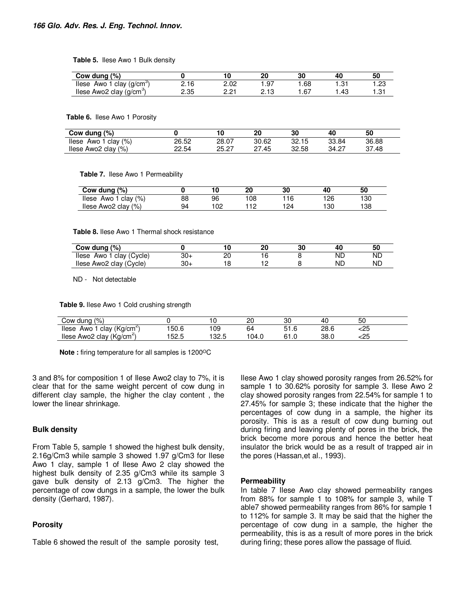**Table 5.** Ilese Awo 1 Bulk density

| Cow dung $(\%)$                          |      |               |       | 30          |       | 50   |
|------------------------------------------|------|---------------|-------|-------------|-------|------|
| llese<br>Awo 1 clay (g/cm <sup>o</sup> ) | 2.16 | 2.02          | .97   | .68         | . ت   | .23  |
| llese Awo2 clay (g/cm <sup>-</sup> )     | 2.35 | ∩ ∩⊣<br>- - - | - 1 0 | - 67<br>، ت | . .43 | 1.31 |

#### **Table 6.** Ilese Awo 1 Porosity

| Cow dung (%)               |       |       | 20    | 30    | 40    | 50    |
|----------------------------|-------|-------|-------|-------|-------|-------|
| Awo 1 clay $(\%)$<br>llese | 26.52 | 28.07 | 30.62 | 32.15 | 33.84 | 36.88 |
| llese Awo2 clay $(\%)$     | 22.54 | 25.27 | .45   | 32.58 | 34.27 | 37.48 |

**Table 7.** Ilese Awo 1 Permeability

| Cow dung (%)            |    |     | 20  | 30  | 40  | 50  |
|-------------------------|----|-----|-----|-----|-----|-----|
| llese Awo 1 clay $(\%)$ | 88 | 96  | 108 |     | 126 | 130 |
| llese Awo2 clay (%)     | 94 | 102 |     | 124 | 130 | 138 |

**Table 8.** Ilese Awo 1 Thermal shock resistance

| Cow dung $(\%)$             |     |    | 20 | 30 | 40 | 50 |
|-----------------------------|-----|----|----|----|----|----|
| Awo 1 clay (Cycle)<br>llese | 30+ | חר |    |    | ND | ND |
| Ilese Awo2 clay (Cycle)     | 30- |    |    |    | ND | ND |

ND - Not detectable

**Table 9.** Ilese Awo 1 Cold crushing strength

| $\frac{10}{6}$<br>Cow dung                  |       |              | ററ<br>∼ | ٩٢<br>ບເ | -4 L | 50         |  |
|---------------------------------------------|-------|--------------|---------|----------|------|------------|--|
| clay (Kg/cm <sup>2)</sup><br>llese<br>Awo . | 150.6 | 09 ا         | 64      | ں. ا ت   | 28.6 | っに<br>ددت  |  |
| (Ka/cm<br>Awo2 clav<br>llese                | 52.5  | ລລ ແ<br>ں ےں | 104.0   | 64       | 38.0 | っに<br>ددنا |  |

**Note :** firing temperature for all samples is 1200<sup>o</sup>C

3 and 8% for composition 1 of Ilese Awo2 clay to 7%, it is clear that for the same weight percent of cow dung in different clay sample, the higher the clay content , the lower the linear shrinkage.

#### **Bulk density**

From Table 5, sample 1 showed the highest bulk density, 2.16g/Cm3 while sample 3 showed 1.97 g/Cm3 for Ilese Awo 1 clay, sample 1 of Ilese Awo 2 clay showed the highest bulk density of 2.35 g/Cm3 while its sample 3 gave bulk density of 2.13 g/Cm3. The higher the percentage of cow dungs in a sample, the lower the bulk density (Gerhard, 1987).

#### **Porosity**

Table 6 showed the result of the sample porosity test,

Ilese Awo 1 clay showed porosity ranges from 26.52% for sample 1 to 30.62% porosity for sample 3. Ilese Awo 2 clay showed porosity ranges from 22.54% for sample 1 to 27.45% for sample 3; these indicate that the higher the percentages of cow dung in a sample, the higher its porosity. This is as a result of cow dung burning out during firing and leaving plenty of pores in the brick, the brick become more porous and hence the better heat insulator the brick would be as a result of trapped air in the pores (Hassan,et al., 1993).

#### **Permeability**

In table 7 Ilese Awo clay showed permeability ranges from 88% for sample 1 to 108% for sample 3, while T able7 showed permeability ranges from 86% for sample 1 to 112% for sample 3. It may be said that the higher the percentage of cow dung in a sample, the higher the permeability, this is as a result of more pores in the brick during firing; these pores allow the passage of fluid.